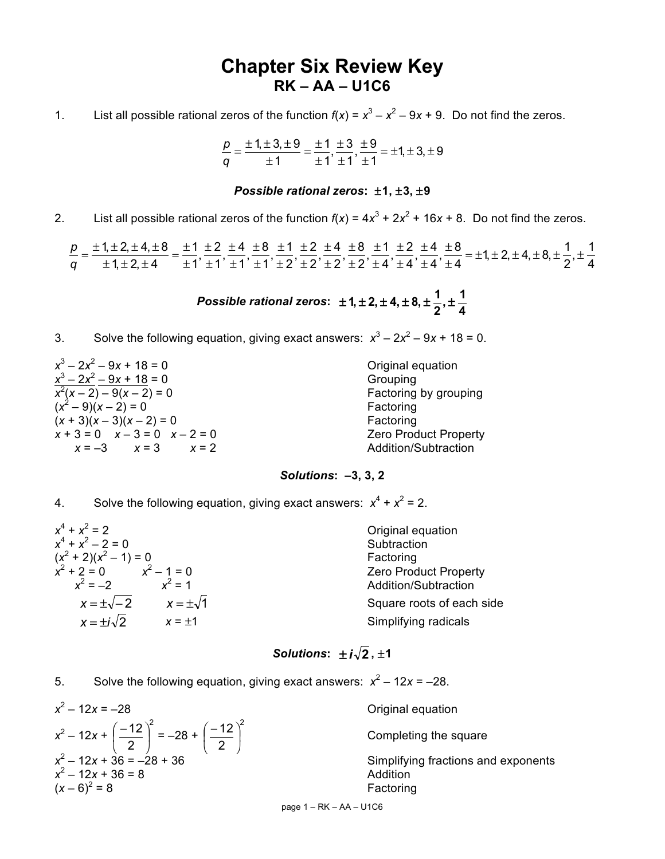# **Chapter Six Review Key RK – AA – U1C6**

1. List all possible rational zeros of the function  $f(x) = x^3 - x^2 - 9x + 9$ . Do not find the zeros.

$$
\frac{p}{q} = \frac{\pm 1, \pm 3, \pm 9}{\pm 1} = \frac{\pm 1}{\pm 1}, \frac{\pm 3}{\pm 1}, \frac{\pm 9}{\pm 1} = \pm 1, \pm 3, \pm 9
$$

### *Possible rational zeros***:** ±**1,** ±**3,** ±**9**

2. List all possible rational zeros of the function  $f(x) = 4x^3 + 2x^2 + 16x + 8$ . Do not find the zeros.

4  $+\pm \frac{1}{4}$  $\frac{1}{2}$ ,  $\frac{1}{2}$  = ±1, ± 2, ± 4, ± 8, ±  $\frac{1}{2}$ 4  $\frac{\pm 4}{\cdot}$ 4  $\frac{\pm 2}{\cdot}$ 4  $\frac{\pm 1}{\cdot}$ 2  $\frac{\pm 8}{\sqrt{2}}$ 2  $\frac{\pm 4}{\sqrt{2}}$ 2  $\frac{\pm 2}{\sqrt{2}}$ 2  $\frac{\pm 1}{\sqrt{2}}$ 1  $\frac{\pm 8}{\sqrt{2}}$ 1  $\frac{\pm 4}{\cdot}$ 1  $\frac{\pm 2}{\sqrt{2}}$ 1 1  $1, ± 2, ± 4$  $\frac{1, \pm 2, \pm 4, \pm 8}{1, \pm 2, \pm 4, \pm 8} = \frac{\pm 1}{1, \pm 2} \frac{\pm 2}{\pm 4, \pm 8, \pm 2} \frac{\pm 1}{\pm 2, \pm 4} \frac{\pm 8}{\pm 2, \pm 4} \frac{\pm 1}{\pm 2} \frac{\pm 2}{\pm 2, \pm 4} \frac{\pm 8}{\pm 2, \pm 4, \pm 8, \pm 2, \pm 4} = \pm 1, \pm 2, \pm 4, \pm 8, \pm \frac{1}{2}, \pm \frac{1}{2}, \pm \frac{1}{2}, \pm \$ ± ± ± ± ± ± ± ± ± ± ± ± ± ± ± ± ± ± ± ± ± ±  $\frac{p}{q} = \frac{\pm 1, \pm 2, \pm 4, \pm 8}{\pm 1, \pm 2, \pm 4} = \frac{\pm \sqrt{3}}{q}$ 

> *Possible rational zeros***: 4**  $,t \pm \frac{1}{4}$ **2 1**  $\pm$  **1**,  $\pm$  **2**,  $\pm$  **4**,  $\pm$  **8**,  $\pm$   $\frac{1}{2}$ ,  $\pm$

3. Solve the following equation, giving exact answers:  $x^3 - 2x^2 - 9x + 18 = 0$ .

| $x^3 - 2x^2 - 9x + 18 = 0$                 | Original equation            |
|--------------------------------------------|------------------------------|
| $x^3 - 2x^2 - 9x + 18 = 0$                 | Grouping                     |
| $\frac{x^2(x-2)-9(x-2)=0}{(x^2-9)(x-2)=0}$ | Factoring by grouping        |
|                                            | Factoring                    |
| $(x + 3)(x - 3)(x - 2) = 0$                | Factoring                    |
| $x + 3 = 0$ $x - 3 = 0$ $x - 2 = 0$        | <b>Zero Product Property</b> |
| $x = -3$ $x = 3$ $x = 2$                   | Addition/Subtraction         |

### *Solutions***: –3, 3, 2**

4. Solve the following equation, giving exact answers:  $x^4 + x^2 = 2$ .

| Original equation            |
|------------------------------|
| Subtraction                  |
| Factoring                    |
| <b>Zero Product Property</b> |
| Addition/Subtraction         |
| Square roots of each side    |
| Simplifying radicals         |
|                              |

# *Solutions*:  $\pm i\sqrt{2}$ ,  $\pm 1$

5. Solve the following equation, giving exact answers:  $x^2 - 12x = -28$ .

$$
x^{2}-12x = -28
$$
  
\n
$$
x^{2}-12x + \left(-\frac{12}{2}\right)^{2} = -28 + \left(-\frac{12}{2}\right)^{2}
$$
  
\n
$$
x^{2}-12x + 36 = -28 + 36
$$
  
\n
$$
x^{2}-12x + 36 = 8
$$
  
\n
$$
(x-6)^{2} = 8
$$
  
\n**Example 11** 1  
\n**Completing the set**  
\nSimplifying fraction  
\n2  
\n**Example 12**  
\n**Example 13**  
\n**Example 14**  
\n**Example 15**  
\n**Example 16**  
\n**Example 18**  
\n**Example 19**  
\n**Example 19**  
\n**Example 10**  
\n**Example 10**  
\n**Example 11**  
\n**Example 11**  
\n**Example 12**  
\n**Example 13**  
\n**Example 14**  
\n**Example 15**  
\n**Example 16**  
\n**Example 18**  
\n**Example 19**  
\n**Example 19**  
\n**Example 10**  
\n**Example 10**  
\n**Example 11**  
\n**Example 11**  
\n**Example 12**  
\n**Example 13**  
\n**Example 15**  
\n**Example 16**  
\n**Example 18**  
\n**Example 19**  
\n**Example 19**  
\n**Example 10**  
\n**Example 10**  
\n**Example 11**  
\n**Example 11**  
\n**Example 12**  
\n**Example 13**  
\n**Example 15**  
\n**Example 18**  
\n**Example 19**  
\n**Example 19**  
\n**Example 10**  
\n**Example 10**  
\n**Example 11**  
\n**Example 13**  
\n**Example 14**  
\n**Example 15**  
\n**Example 1**

Completing the square

*<u>X</u>* Simplifying fractions and exponents Factoring

page 1 – RK – AA – U1C6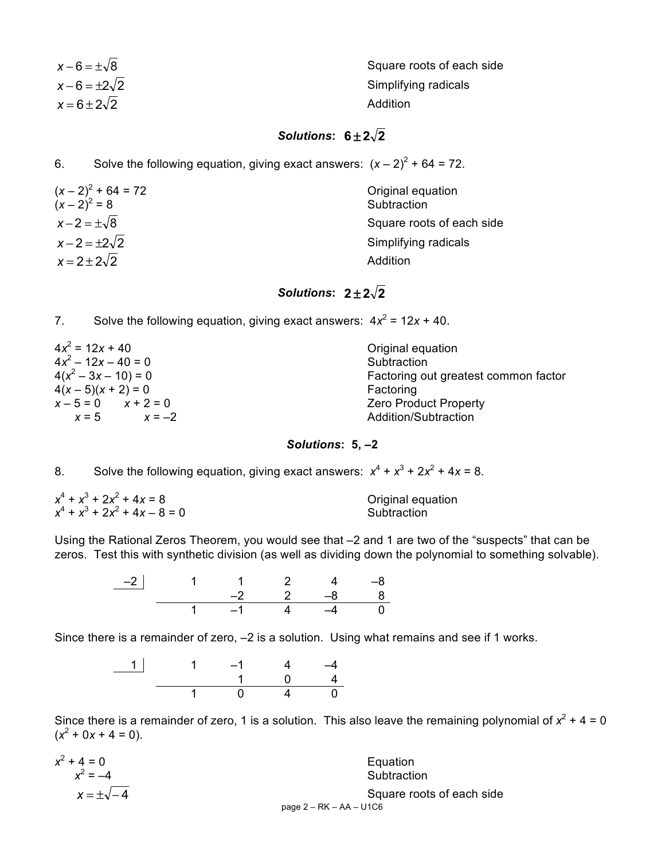| $x-6=\pm\sqrt{8}$       | Square roots of each side |
|-------------------------|---------------------------|
| $x - 6 = \pm 2\sqrt{2}$ | Simplifying radicals      |
| $x=6\pm 2\sqrt{2}$      | Addition                  |

# **Solutions:**  $6 \pm 2\sqrt{2}$

6. Solve the following equation, giving exact answers:  $(x - 2)^2 + 64 = 72$ .

| $(x-2)^2 + 64 = 72$<br>$(x-2)^2 = 8$ | Original equation<br>Subtraction |
|--------------------------------------|----------------------------------|
| $x-2=\pm\sqrt{8}$                    | Square roots of each side        |
| $x-2=\pm 2\sqrt{2}$                  | Simplifying radicals             |
| $x=2\pm 2\sqrt{2}$                   | Addition                         |

# **Solutions:**  $2 \pm 2\sqrt{2}$

7. Solve the following equation, giving exact answers:  $4x^2 = 12x + 40$ .

| $4x^2 = 12x + 40$       | Original equation                    |
|-------------------------|--------------------------------------|
| $4x^2 - 12x - 40 = 0$   | Subtraction                          |
| $4(x^2-3x-10)=0$        | Factoring out greatest common factor |
| $4(x-5)(x+2) = 0$       | Factoring                            |
| $x - 5 = 0$ $x + 2 = 0$ | <b>Zero Product Property</b>         |
| $x = 5$<br>$x = -2$     | Addition/Subtraction                 |

#### *Solutions***: 5, –2**

8. Solve the following equation, giving exact answers:  $x^4 + x^3 + 2x^2 + 4x = 8$ .

| $x^4 + x^3 + 2x^2 + 4x = 8$     | Original equation |  |
|---------------------------------|-------------------|--|
| $x^4 + x^3 + 2x^2 + 4x - 8 = 0$ | Subtraction       |  |

Using the Rational Zeros Theorem, you would see that –2 and 1 are two of the "suspects" that can be zeros. Test this with synthetic division (as well as dividing down the polynomial to something solvable).

> –2 1 1 2 4 –8 –2 2 –8 8 1 –1 4 –4 0

Since there is a remainder of zero, –2 is a solution. Using what remains and see if 1 works.

1 | 1  $-1$  4  $-4$ 1 0 4 1 0 4 0

Since there is a remainder of zero, 1 is a solution. This also leave the remaining polynomial of  $x^2 + 4 = 0$  $(x^2 + 0x + 4 = 0)$ .

| $x^2 + 4 = 0$       | Equation                  |
|---------------------|---------------------------|
| $x^2 = -4$          | Subtraction               |
| $x = \pm \sqrt{-4}$ | Square roots of each side |
|                     | page $2 - RK - AA - U1C6$ |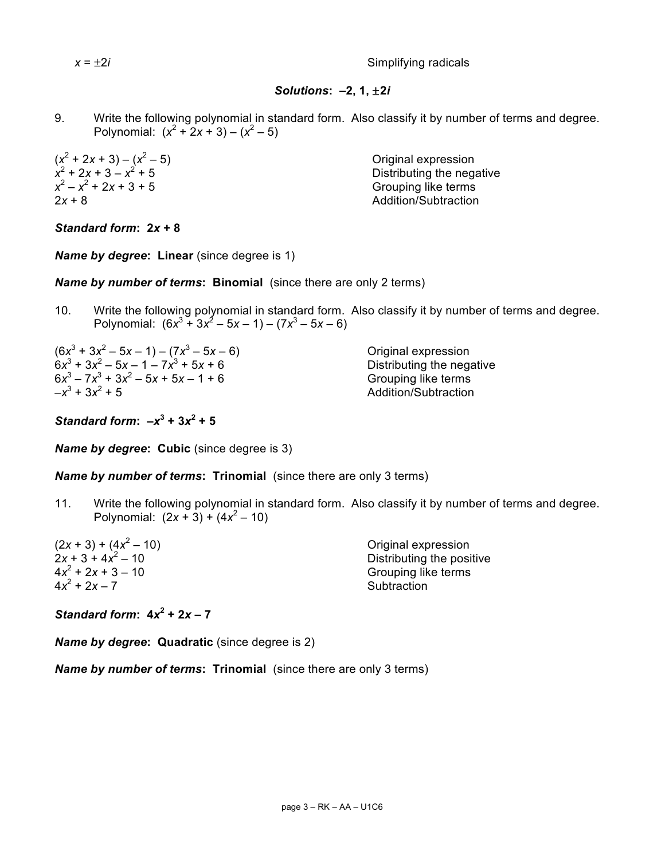*x* = ±2*i* Simplifying radicals

## *Solutions***: –2, 1,** ±**2***i*

9. Write the following polynomial in standard form. Also classify it by number of terms and degree. Polynomial:  $(x^2 + 2x + 3) - (x^2 - 5)$ 

 $(x^2 + 2x + 3) - (x^2 - 5)$ <br>  $x^2 + 2x + 3 - x^2 + 5$ <br>
Original expression<br>
Original expression<br>
Original expression  $x^2 - x^2 + 2x + 3 + 5$  Grouping like terms 2*x* + 8 Addition/Subtraction

**Distributing the negative** 

*Standard form***: 2***x* **+ 8**

**Name by degree: Linear** (since degree is 1)

*Name by number of terms***: Binomial** (since there are only 2 terms)

10. Write the following polynomial in standard form. Also classify it by number of terms and degree. Polynomial:  $(6x^3 + 3x^2 - 5x - 1) - (7x^3 - 5x - 6)$ 

 $(6x^3 + 3x^2 - 5x - 1) - (7x^3 - 5x - 6)$  Original expression  $6x^3 + 3x^2 - 5x - 1 - 7x^3 + 5x + 6$  Distributing the negative  $6x^3 - 7x^3 + 3x^2 - 5x + 5x - 1 + 6$  Grouping like terms<br>  $-x^3 + 3x^2 + 5$  Addition/Subtraction

–*x*<sup>3</sup> + 3*x*<sup>2</sup> + 5 Addition/Subtraction

*Standard form*:  $-x^3 + 3x^2 + 5$ 

**Name by degree: Cubic** (since degree is 3)

*Name by number of terms***: Trinomial** (since there are only 3 terms)

11. Write the following polynomial in standard form. Also classify it by number of terms and degree. Polynomial:  $(2x + 3) + (4x^2 - 10)$ 

 $(2x + 3) + (4x<sup>2</sup> - 10)$  Original expression<br> $2x + 3 + 4x<sup>2</sup> - 10$  Distributing the posi  $2x + 3 + 4x^2 - 10$ <br> $4x^2 + 2x + 3 - 10$  Distributing the positive<br>Grouping like terms **Grouping like terms**  $4x^2 + 2x - 7$  Subtraction

*Standard form*:  $4x^2 + 2x - 7$ 

*Name by degree***: Quadratic** (since degree is 2)

*Name by number of terms***: Trinomial** (since there are only 3 terms)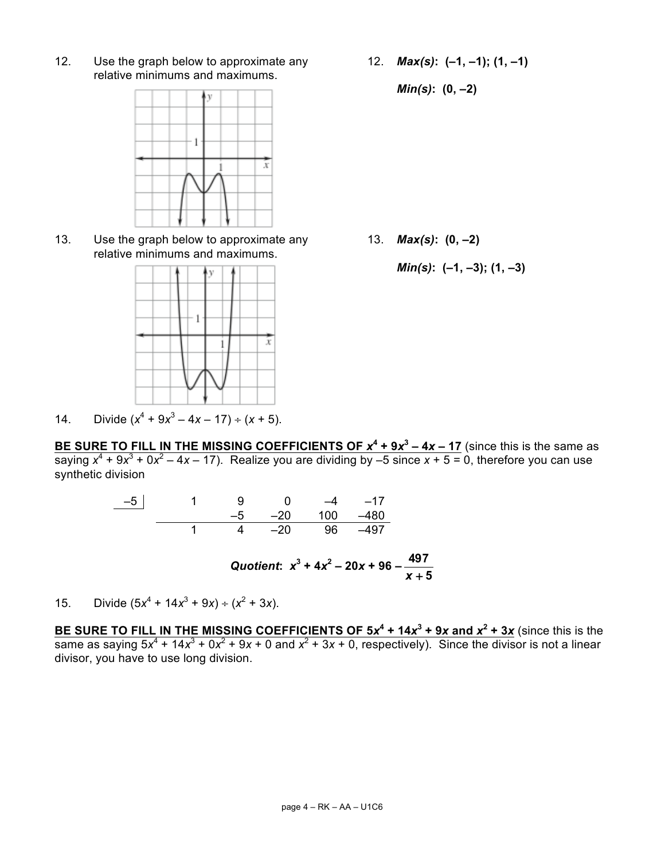relative minimums and maximums.

 $\bar{x}$ 



relative minimums and maximums.

y

 $\mathbf{1}$ 

14. Divide  $(x^4 + 9x^3 - 4x - 17) \div (x + 5)$ .

12. Use the graph below to approximate any 12. *Max(s)***: (–1, –1); (1, –1)**

*Min(s)***: (0, –2)**

13. Use the graph below to approximate any 13. *Max(s)***: (0, –2)**

$$
Min(s): (-1, -3); (1, -3)
$$

BE SURE TO FILL IN THE MISSING COEFFICIENTS OF  $x^4 + 9x^3 - 4x - 17$  (since this is the same as saying  $x^4 + 9x^3 + 0x^2 - 4x - 17$ ). Realize you are dividing by  $-5$  since  $x + 5 = 0$ , therefore you can use synthetic division

| $-5$ | 9.              | $\mathbf{0}$ |                       | $-4$ $-17$ |
|------|-----------------|--------------|-----------------------|------------|
|      |                 |              | $-5$ $-20$ 100 $-480$ |            |
|      | 1 4 –20 96 –497 |              |                       |            |

Quotient: 
$$
x^3 + 4x^2 - 20x + 96 - \frac{497}{x+5}
$$

15. Divide  $(5x^4 + 14x^3 + 9x) \div (x^2 + 3x)$ .

**BE SURE TO FILL IN THE MISSING COEFFICIENTS OF 5***x***<sup>4</sup> + 14***x***<sup>3</sup> + 9***x* **and** *x***<sup>2</sup> + 3***x* (since this is the same as saying  $5x^4 + 14x^3 + 0x^2 + 9x + 0$  and  $x^2 + 3x + 0$ , respectively). Since the divisor is not a linear divisor, you have to use long division.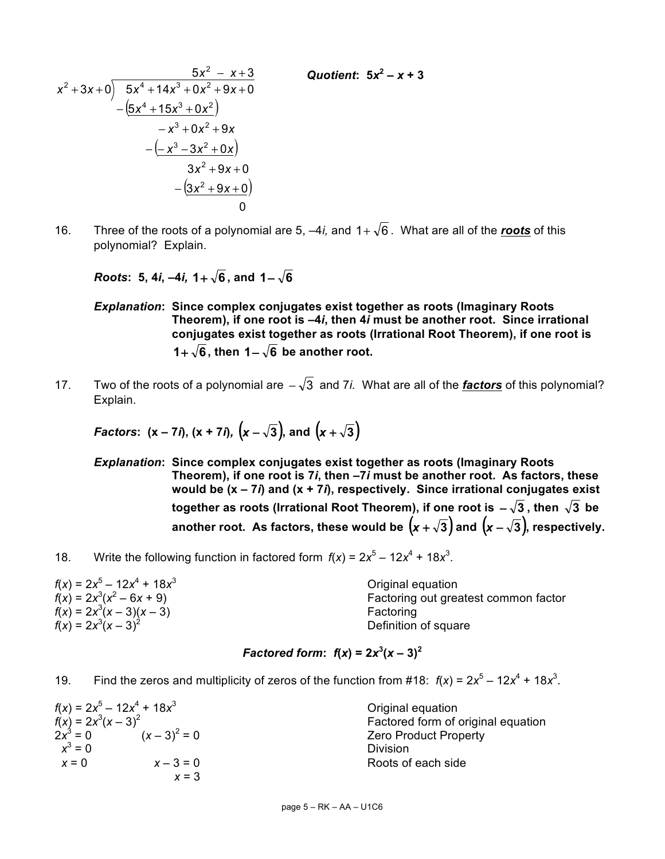$$
\begin{array}{r} 5x^2 - x + 3 \\ x^2 + 3x + 0) \overline{\smash)5x^4 + 14x^3 + 0x^2 + 9x + 0} \\ \underline{-(5x^4 + 15x^3 + 0x^2)} \\ -x^3 + 0x^2 + 9x \\ \underline{-(x^3 - 3x^2 + 0x)} \\ 3x^2 + 9x + 0 \\ \underline{-(3x^2 + 9x + 0)} \\ 0\n\end{array}
$$

16. Three of the roots of a polynomial are 5,  $-4i$ , and  $1+\sqrt{6}$ . What are all of the **roots** of this polynomial? Explain.

*Roots*: 5, 4*i*,  $-4i$ , 1+  $\sqrt{6}$ , and 1 -  $\sqrt{6}$ 

*Explanation***: Since complex conjugates exist together as roots (Imaginary Roots Theorem), if one root is –4***i***, then 4***i* **must be another root. Since irrational conjugates exist together as roots (Irrational Root Theorem), if one root is 1**+  $\sqrt{6}$ , then 1−  $\sqrt{6}$  be another root.

*Quotient***:**  $5x^2 - x + 3$ 

17. Two of the roots of a polynomial are  $-\sqrt{3}$  and 7*i*. What are all of the *factors* of this polynomial? Explain.

Factors: 
$$
(x - 7i), (x + 7i), (x - \sqrt{3}),
$$
 and  $(x + \sqrt{3})$ 

*Explanation***: Since complex conjugates exist together as roots (Imaginary Roots Theorem), if one root is 7***i***, then –7***i* **must be another root. As factors, these would be (x – 7***i***) and (x + 7***i***), respectively. Since irrational conjugates exist together as roots (Irrational Root Theorem), if one root is**  $-\sqrt{3}$ **, then**  $\sqrt{3}$  **be another root.** As factors, these would be  $(x + \sqrt{3})$  and  $(x - \sqrt{3})$ , respectively.

18. Write the following function in factored form  $f(x) = 2x^5 - 12x^4 + 18x^3$ .

 $f(x) = 2x^5 - 12x^4 + 18x^3$  Original equation  $f(x) = 2x^3(x^2 - 6x + 9)$ Factoring out greatest common factor  $f(x) = 2x^3(x-3)(x-3)$  Factoring  $f(x) = 2x^3(x-3)^2$ Definition of square

## *Factored form*:  $f(x) = 2x^3(x - 3)^2$

19. Find the zeros and multiplicity of zeros of the function from #18:  $f(x) = 2x^5 - 12x^4 + 18x^3$ .

|                      | $f(x) = 2x^5 - 12x^4 + 18x^3$ | Original equation                  |
|----------------------|-------------------------------|------------------------------------|
| $f(x) = 2x^3(x-3)^2$ |                               | Factored form of original equation |
| $2x^3 = 0$           | $(x-3)^2 = 0$                 | <b>Zero Product Property</b>       |
| $x^3 = 0$            |                               | Division                           |
| $x = 0$              | $x - 3 = 0$                   | Roots of each side                 |
|                      | $x = 3$                       |                                    |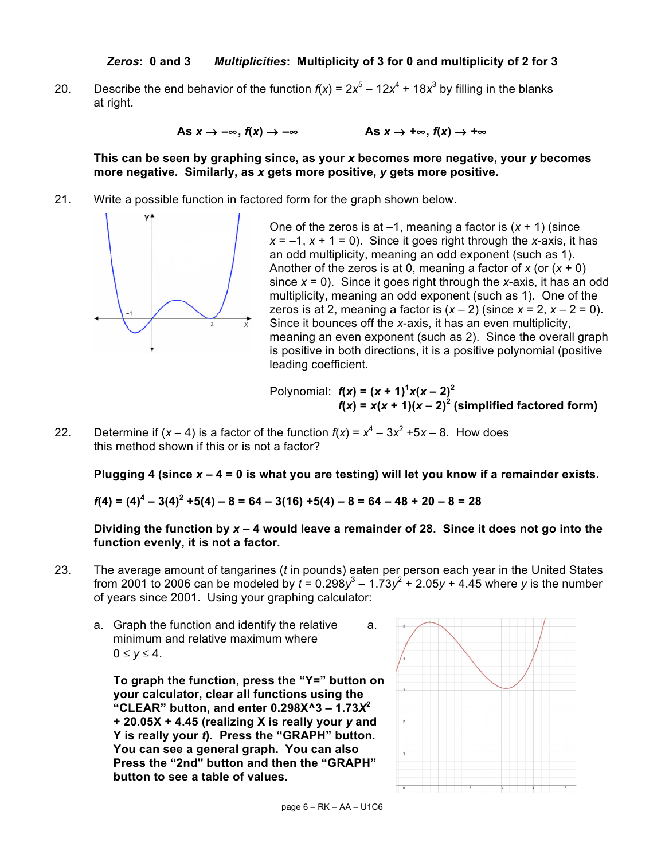20. Describe the end behavior of the function  $f(x) = 2x^5 - 12x^4 + 18x^3$  by filling in the blanks at right.

As  $x \to -\infty$ ,  $f(x) \to -\infty$  As  $x \to +\infty$ ,  $f(x) \to +\infty$ 

**This can be seen by graphing since, as your** *x* **becomes more negative, your** *y* **becomes more negative. Similarly, as** *x* **gets more positive,** *y* **gets more positive.**

21. Write a possible function in factored form for the graph shown below.



Polynomial:  $f(x) = (x + 1)^{1}x(x - 2)^{2}$  $f(x) = x(x + 1)(x - 2)^2$  (simplified factored form)

22. Determine if  $(x - 4)$  is a factor of the function  $f(x) = x^4 - 3x^2 + 5x - 8$ . How does this method shown if this or is not a factor?

**Plugging 4 (since** *x* **– 4 = 0 is what you are testing) will let you know if a remainder exists.** 

*f***(4) = (4)<sup>4</sup> – 3(4)<sup>2</sup> +5(4) – 8 = 64 – 3(16) +5(4) – 8 = 64 – 48 + 20 – 8 = 28**

**Dividing the function by** *x* **– 4 would leave a remainder of 28. Since it does not go into the function evenly, it is not a factor.**

- 23. The average amount of tangarines (*t* in pounds) eaten per person each year in the United States from 2001 to 2006 can be modeled by  $t = 0.298y^3 - 1.73y^2 + 2.05y + 4.45$  where *y* is the number of years since 2001. Using your graphing calculator:
	- a. Graph the function and identify the relative a. minimum and relative maximum where  $0 \le v \le 4$ .

**To graph the function, press the "Y=" button on your calculator, clear all functions using the**  "CLEAR" button, and enter  $0.298X^3 - 1.73X^2$ **+ 20.05X + 4.45 (realizing X is really your** *y* **and Y is really your** *t***). Press the "GRAPH" button. You can see a general graph. You can also Press the "2nd" button and then the "GRAPH" button to see a table of values.**

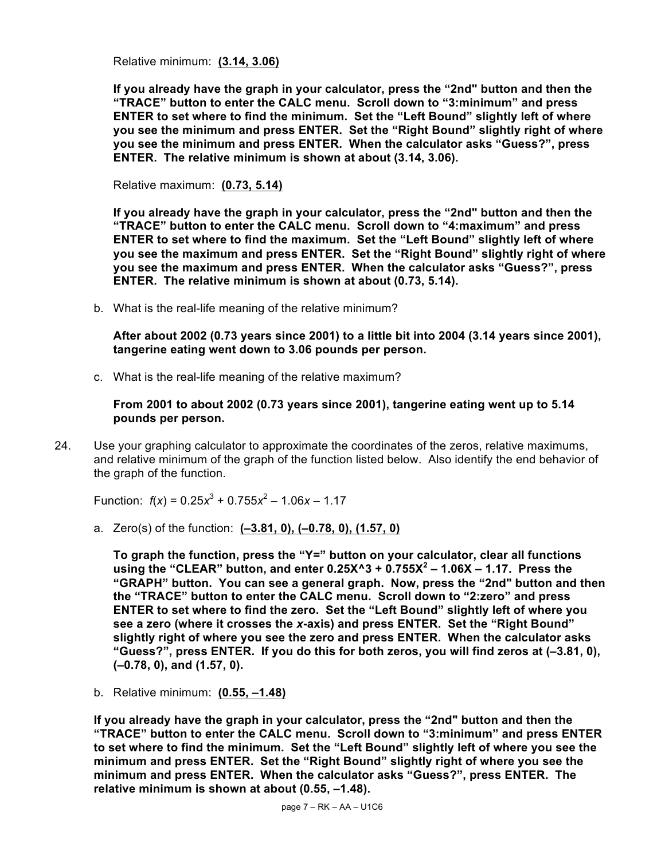Relative minimum: **(3.14, 3.06)**

**If you already have the graph in your calculator, press the "2nd" button and then the "TRACE" button to enter the CALC menu. Scroll down to "3:minimum" and press ENTER to set where to find the minimum. Set the "Left Bound" slightly left of where you see the minimum and press ENTER. Set the "Right Bound" slightly right of where you see the minimum and press ENTER. When the calculator asks "Guess?", press ENTER. The relative minimum is shown at about (3.14, 3.06).**

Relative maximum: **(0.73, 5.14)**

**If you already have the graph in your calculator, press the "2nd" button and then the "TRACE" button to enter the CALC menu. Scroll down to "4:maximum" and press ENTER to set where to find the maximum. Set the "Left Bound" slightly left of where you see the maximum and press ENTER. Set the "Right Bound" slightly right of where you see the maximum and press ENTER. When the calculator asks "Guess?", press ENTER. The relative minimum is shown at about (0.73, 5.14).**

b. What is the real-life meaning of the relative minimum?

**After about 2002 (0.73 years since 2001) to a little bit into 2004 (3.14 years since 2001), tangerine eating went down to 3.06 pounds per person.**

c. What is the real-life meaning of the relative maximum?

**From 2001 to about 2002 (0.73 years since 2001), tangerine eating went up to 5.14 pounds per person.**

24. Use your graphing calculator to approximate the coordinates of the zeros, relative maximums, and relative minimum of the graph of the function listed below. Also identify the end behavior of the graph of the function.

Function:  $f(x) = 0.25x^3 + 0.755x^2 - 1.06x - 1.17$ 

a. Zero(s) of the function: **(–3.81, 0), (–0.78, 0), (1.57, 0)**

**To graph the function, press the "Y=" button on your calculator, clear all functions using the "CLEAR" button, and enter 0.25X^3 + 0.755X<sup>2</sup> – 1.06X – 1.17. Press the "GRAPH" button. You can see a general graph. Now, press the "2nd" button and then the "TRACE" button to enter the CALC menu. Scroll down to "2:zero" and press ENTER to set where to find the zero. Set the "Left Bound" slightly left of where you see a zero (where it crosses the** *x***-axis) and press ENTER. Set the "Right Bound" slightly right of where you see the zero and press ENTER. When the calculator asks "Guess?", press ENTER. If you do this for both zeros, you will find zeros at (–3.81, 0), (–0.78, 0), and (1.57, 0).**

b. Relative minimum: **(0.55, –1.48)**

**If you already have the graph in your calculator, press the "2nd" button and then the "TRACE" button to enter the CALC menu. Scroll down to "3:minimum" and press ENTER to set where to find the minimum. Set the "Left Bound" slightly left of where you see the minimum and press ENTER. Set the "Right Bound" slightly right of where you see the minimum and press ENTER. When the calculator asks "Guess?", press ENTER. The relative minimum is shown at about (0.55, –1.48).**